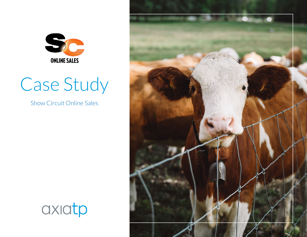

# Case Study

Show Circuit Online Sales



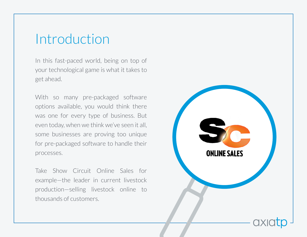#### Introduction

In this fast-paced world, being on top of your technological game is what it takes to get ahead.

With so many pre-packaged software options available, you would think there was one for every type of business. But even today, when we think we've seen it all, some businesses are proving too unique for pre-packaged software to handle their processes.

Take Show Circuit Online Sales for example—the leader in current livestock production—selling livestock online to thousands of customers.

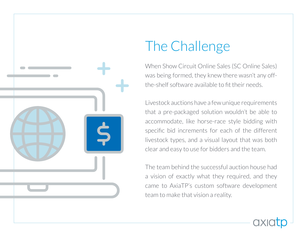

## The Challenge

When Show Circuit Online Sales (SC Online Sales) was being formed, they knew there wasn't any offthe-shelf software available to fit their needs.

Livestock auctions have a few unique requirements that a pre-packaged solution wouldn't be able to accommodate, like horse-race style bidding with specific bid increments for each of the different livestock types, and a visual layout that was both clear and easy to use for bidders and the team.

The team behind the successful auction house had a vision of exactly what they required, and they came to AxiaTP's custom software development team to make that vision a reality.

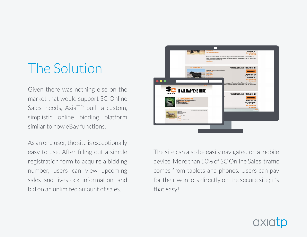### The Solution

Given there was nothing else on the market that would support SC Online Sales' needs, AxiaTP built a custom, simplistic online bidding platform similar to how eBay functions.

As an end user, the site is exceptionally easy to use. After filling out a simple registration form to acquire a bidding number, users can view upcoming sales and livestock information, and bid on an unlimited amount of sales.



The site can also be easily navigated on a mobile device. More than 50% of SC Online Sales' traffic comes from tablets and phones. Users can pay for their won lots directly on the secure site; it's that easy!

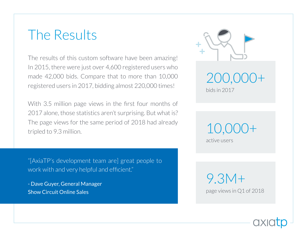#### The Results

The results of this custom software have been amazing! In 2015, there were just over 4,600 registered users who made 42,000 bids. Compare that to more than 10,000 registered users in 2017, bidding almost 220,000 times!

With 3.5 million page views in the first four months of 2017 alone, those statistics aren't surprising. But what is? The page views for the same period of 2018 had already tripled to 9.3 million.

"[AxiaTP's development team are] great people to work with and very helpful and efficient."

- Dave Guyer, General Manager Show Circuit Online Sales



200,000+ bids in 2017

10,000+

active users

9.3M+ page views in Q1 of 2018